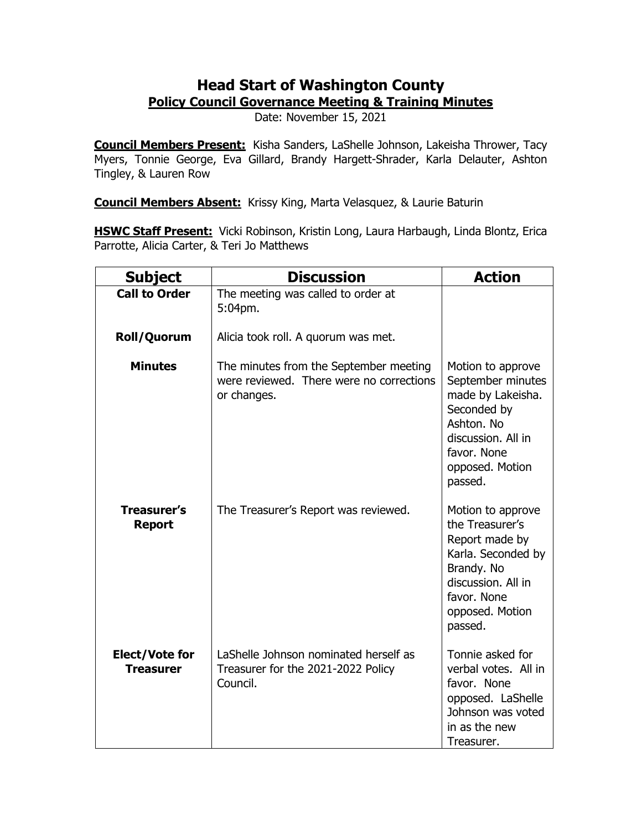## **Head Start of Washington County Policy Council Governance Meeting & Training Minutes**

Date: November 15, 2021

**Council Members Present:** Kisha Sanders, LaShelle Johnson, Lakeisha Thrower, Tacy Myers, Tonnie George, Eva Gillard, Brandy Hargett-Shrader, Karla Delauter, Ashton Tingley, & Lauren Row

**Council Members Absent:** Krissy King, Marta Velasquez, & Laurie Baturin

**HSWC Staff Present:** Vicki Robinson, Kristin Long, Laura Harbaugh, Linda Blontz, Erica Parrotte, Alicia Carter, & Teri Jo Matthews

| <b>Subject</b>                            | <b>Discussion</b>                                                                                 | <b>Action</b>                                                                                                                                                 |
|-------------------------------------------|---------------------------------------------------------------------------------------------------|---------------------------------------------------------------------------------------------------------------------------------------------------------------|
| <b>Call to Order</b>                      | The meeting was called to order at<br>5:04pm.                                                     |                                                                                                                                                               |
| Roll/Quorum                               | Alicia took roll. A quorum was met.                                                               |                                                                                                                                                               |
| <b>Minutes</b>                            | The minutes from the September meeting<br>were reviewed. There were no corrections<br>or changes. | Motion to approve<br>September minutes<br>made by Lakeisha.<br>Seconded by<br>Ashton, No<br>discussion. All in<br>favor. None<br>opposed. Motion<br>passed.   |
| <b>Treasurer's</b><br><b>Report</b>       | The Treasurer's Report was reviewed.                                                              | Motion to approve<br>the Treasurer's<br>Report made by<br>Karla. Seconded by<br>Brandy. No<br>discussion. All in<br>favor. None<br>opposed. Motion<br>passed. |
| <b>Elect/Vote for</b><br><b>Treasurer</b> | LaShelle Johnson nominated herself as<br>Treasurer for the 2021-2022 Policy<br>Council.           | Tonnie asked for<br>verbal votes. All in<br>favor. None<br>opposed. LaShelle<br>Johnson was voted<br>in as the new<br>Treasurer.                              |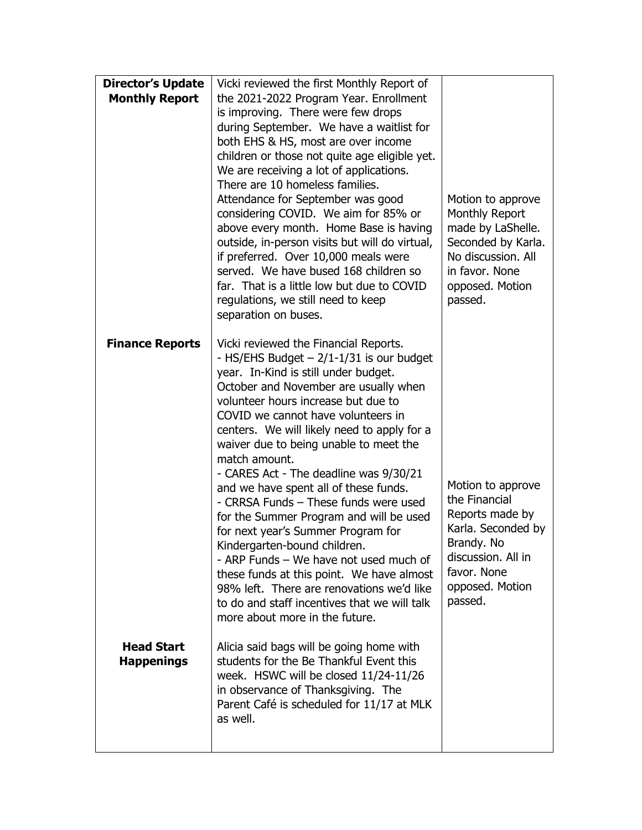| <b>Director's Update</b><br><b>Monthly Report</b> | Vicki reviewed the first Monthly Report of<br>the 2021-2022 Program Year. Enrollment<br>is improving. There were few drops<br>during September. We have a waitlist for<br>both EHS & HS, most are over income<br>children or those not quite age eligible yet.<br>We are receiving a lot of applications.<br>There are 10 homeless families.<br>Attendance for September was good<br>considering COVID. We aim for 85% or<br>above every month. Home Base is having<br>outside, in-person visits but will do virtual,<br>if preferred. Over 10,000 meals were<br>served. We have bused 168 children so<br>far. That is a little low but due to COVID<br>regulations, we still need to keep<br>separation on buses.                                                                                                            | Motion to approve<br>Monthly Report<br>made by LaShelle.<br>Seconded by Karla.<br>No discussion. All<br>in favor. None<br>opposed. Motion<br>passed.         |
|---------------------------------------------------|-------------------------------------------------------------------------------------------------------------------------------------------------------------------------------------------------------------------------------------------------------------------------------------------------------------------------------------------------------------------------------------------------------------------------------------------------------------------------------------------------------------------------------------------------------------------------------------------------------------------------------------------------------------------------------------------------------------------------------------------------------------------------------------------------------------------------------|--------------------------------------------------------------------------------------------------------------------------------------------------------------|
| <b>Finance Reports</b>                            | Vicki reviewed the Financial Reports.<br>- HS/EHS Budget $-2/1-1/31$ is our budget<br>year. In-Kind is still under budget.<br>October and November are usually when<br>volunteer hours increase but due to<br>COVID we cannot have volunteers in<br>centers. We will likely need to apply for a<br>waiver due to being unable to meet the<br>match amount.<br>- CARES Act - The deadline was 9/30/21<br>and we have spent all of these funds.<br>- CRRSA Funds - These funds were used<br>for the Summer Program and will be used<br>for next year's Summer Program for<br>Kindergarten-bound children.<br>- ARP Funds - We have not used much of<br>these funds at this point. We have almost<br>98% left. There are renovations we'd like<br>to do and staff incentives that we will talk<br>more about more in the future. | Motion to approve<br>the Financial<br>Reports made by<br>Karla. Seconded by<br>Brandy. No<br>discussion. All in<br>favor. None<br>opposed. Motion<br>passed. |
| <b>Head Start</b><br><b>Happenings</b>            | Alicia said bags will be going home with<br>students for the Be Thankful Event this<br>week. HSWC will be closed 11/24-11/26<br>in observance of Thanksgiving. The<br>Parent Café is scheduled for 11/17 at MLK<br>as well.                                                                                                                                                                                                                                                                                                                                                                                                                                                                                                                                                                                                   |                                                                                                                                                              |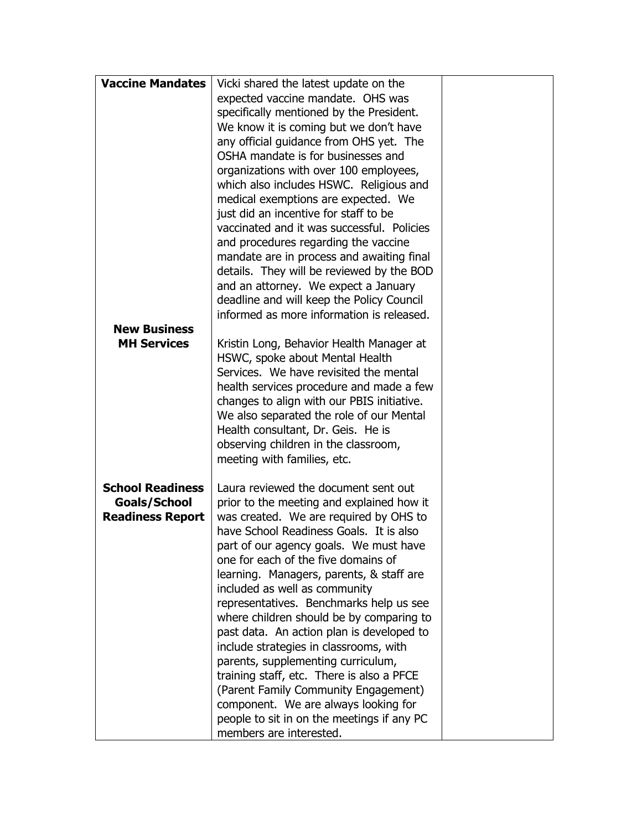| expected vaccine mandate. OHS was<br>specifically mentioned by the President.<br>We know it is coming but we don't have<br>any official guidance from OHS yet. The<br>OSHA mandate is for businesses and<br>organizations with over 100 employees,<br>which also includes HSWC. Religious and<br>medical exemptions are expected. We<br>just did an incentive for staff to be<br>vaccinated and it was successful. Policies<br>and procedures regarding the vaccine<br>mandate are in process and awaiting final<br>details. They will be reviewed by the BOD<br>and an attorney. We expect a January<br>deadline and will keep the Policy Council<br>informed as more information is released.<br><b>New Business</b><br><b>MH Services</b><br>Kristin Long, Behavior Health Manager at<br>HSWC, spoke about Mental Health<br>Services. We have revisited the mental<br>health services procedure and made a few<br>changes to align with our PBIS initiative.<br>We also separated the role of our Mental<br>Health consultant, Dr. Geis. He is<br>observing children in the classroom,<br>meeting with families, etc.<br>Laura reviewed the document sent out<br><b>School Readiness</b><br>Goals/School<br>prior to the meeting and explained how it<br><b>Readiness Report</b><br>was created. We are required by OHS to<br>have School Readiness Goals. It is also<br>part of our agency goals. We must have<br>one for each of the five domains of<br>learning. Managers, parents, & staff are<br>included as well as community<br>representatives. Benchmarks help us see<br>where children should be by comparing to<br>past data. An action plan is developed to<br>include strategies in classrooms, with<br>parents, supplementing curriculum,<br>training staff, etc. There is also a PFCE<br>(Parent Family Community Engagement)<br>component. We are always looking for<br>people to sit in on the meetings if any PC | <b>Vaccine Mandates</b> | Vicki shared the latest update on the |  |
|---------------------------------------------------------------------------------------------------------------------------------------------------------------------------------------------------------------------------------------------------------------------------------------------------------------------------------------------------------------------------------------------------------------------------------------------------------------------------------------------------------------------------------------------------------------------------------------------------------------------------------------------------------------------------------------------------------------------------------------------------------------------------------------------------------------------------------------------------------------------------------------------------------------------------------------------------------------------------------------------------------------------------------------------------------------------------------------------------------------------------------------------------------------------------------------------------------------------------------------------------------------------------------------------------------------------------------------------------------------------------------------------------------------------------------------------------------------------------------------------------------------------------------------------------------------------------------------------------------------------------------------------------------------------------------------------------------------------------------------------------------------------------------------------------------------------------------------------------------------------------------------------------------------------------------------|-------------------------|---------------------------------------|--|
|                                                                                                                                                                                                                                                                                                                                                                                                                                                                                                                                                                                                                                                                                                                                                                                                                                                                                                                                                                                                                                                                                                                                                                                                                                                                                                                                                                                                                                                                                                                                                                                                                                                                                                                                                                                                                                                                                                                                       |                         |                                       |  |
|                                                                                                                                                                                                                                                                                                                                                                                                                                                                                                                                                                                                                                                                                                                                                                                                                                                                                                                                                                                                                                                                                                                                                                                                                                                                                                                                                                                                                                                                                                                                                                                                                                                                                                                                                                                                                                                                                                                                       |                         |                                       |  |
|                                                                                                                                                                                                                                                                                                                                                                                                                                                                                                                                                                                                                                                                                                                                                                                                                                                                                                                                                                                                                                                                                                                                                                                                                                                                                                                                                                                                                                                                                                                                                                                                                                                                                                                                                                                                                                                                                                                                       |                         |                                       |  |
|                                                                                                                                                                                                                                                                                                                                                                                                                                                                                                                                                                                                                                                                                                                                                                                                                                                                                                                                                                                                                                                                                                                                                                                                                                                                                                                                                                                                                                                                                                                                                                                                                                                                                                                                                                                                                                                                                                                                       |                         |                                       |  |
|                                                                                                                                                                                                                                                                                                                                                                                                                                                                                                                                                                                                                                                                                                                                                                                                                                                                                                                                                                                                                                                                                                                                                                                                                                                                                                                                                                                                                                                                                                                                                                                                                                                                                                                                                                                                                                                                                                                                       |                         |                                       |  |
|                                                                                                                                                                                                                                                                                                                                                                                                                                                                                                                                                                                                                                                                                                                                                                                                                                                                                                                                                                                                                                                                                                                                                                                                                                                                                                                                                                                                                                                                                                                                                                                                                                                                                                                                                                                                                                                                                                                                       |                         |                                       |  |
|                                                                                                                                                                                                                                                                                                                                                                                                                                                                                                                                                                                                                                                                                                                                                                                                                                                                                                                                                                                                                                                                                                                                                                                                                                                                                                                                                                                                                                                                                                                                                                                                                                                                                                                                                                                                                                                                                                                                       |                         |                                       |  |
|                                                                                                                                                                                                                                                                                                                                                                                                                                                                                                                                                                                                                                                                                                                                                                                                                                                                                                                                                                                                                                                                                                                                                                                                                                                                                                                                                                                                                                                                                                                                                                                                                                                                                                                                                                                                                                                                                                                                       |                         |                                       |  |
|                                                                                                                                                                                                                                                                                                                                                                                                                                                                                                                                                                                                                                                                                                                                                                                                                                                                                                                                                                                                                                                                                                                                                                                                                                                                                                                                                                                                                                                                                                                                                                                                                                                                                                                                                                                                                                                                                                                                       |                         |                                       |  |
|                                                                                                                                                                                                                                                                                                                                                                                                                                                                                                                                                                                                                                                                                                                                                                                                                                                                                                                                                                                                                                                                                                                                                                                                                                                                                                                                                                                                                                                                                                                                                                                                                                                                                                                                                                                                                                                                                                                                       |                         |                                       |  |
|                                                                                                                                                                                                                                                                                                                                                                                                                                                                                                                                                                                                                                                                                                                                                                                                                                                                                                                                                                                                                                                                                                                                                                                                                                                                                                                                                                                                                                                                                                                                                                                                                                                                                                                                                                                                                                                                                                                                       |                         |                                       |  |
|                                                                                                                                                                                                                                                                                                                                                                                                                                                                                                                                                                                                                                                                                                                                                                                                                                                                                                                                                                                                                                                                                                                                                                                                                                                                                                                                                                                                                                                                                                                                                                                                                                                                                                                                                                                                                                                                                                                                       |                         |                                       |  |
|                                                                                                                                                                                                                                                                                                                                                                                                                                                                                                                                                                                                                                                                                                                                                                                                                                                                                                                                                                                                                                                                                                                                                                                                                                                                                                                                                                                                                                                                                                                                                                                                                                                                                                                                                                                                                                                                                                                                       |                         |                                       |  |
|                                                                                                                                                                                                                                                                                                                                                                                                                                                                                                                                                                                                                                                                                                                                                                                                                                                                                                                                                                                                                                                                                                                                                                                                                                                                                                                                                                                                                                                                                                                                                                                                                                                                                                                                                                                                                                                                                                                                       |                         |                                       |  |
|                                                                                                                                                                                                                                                                                                                                                                                                                                                                                                                                                                                                                                                                                                                                                                                                                                                                                                                                                                                                                                                                                                                                                                                                                                                                                                                                                                                                                                                                                                                                                                                                                                                                                                                                                                                                                                                                                                                                       |                         |                                       |  |
|                                                                                                                                                                                                                                                                                                                                                                                                                                                                                                                                                                                                                                                                                                                                                                                                                                                                                                                                                                                                                                                                                                                                                                                                                                                                                                                                                                                                                                                                                                                                                                                                                                                                                                                                                                                                                                                                                                                                       |                         |                                       |  |
|                                                                                                                                                                                                                                                                                                                                                                                                                                                                                                                                                                                                                                                                                                                                                                                                                                                                                                                                                                                                                                                                                                                                                                                                                                                                                                                                                                                                                                                                                                                                                                                                                                                                                                                                                                                                                                                                                                                                       |                         |                                       |  |
|                                                                                                                                                                                                                                                                                                                                                                                                                                                                                                                                                                                                                                                                                                                                                                                                                                                                                                                                                                                                                                                                                                                                                                                                                                                                                                                                                                                                                                                                                                                                                                                                                                                                                                                                                                                                                                                                                                                                       |                         |                                       |  |
|                                                                                                                                                                                                                                                                                                                                                                                                                                                                                                                                                                                                                                                                                                                                                                                                                                                                                                                                                                                                                                                                                                                                                                                                                                                                                                                                                                                                                                                                                                                                                                                                                                                                                                                                                                                                                                                                                                                                       |                         |                                       |  |
|                                                                                                                                                                                                                                                                                                                                                                                                                                                                                                                                                                                                                                                                                                                                                                                                                                                                                                                                                                                                                                                                                                                                                                                                                                                                                                                                                                                                                                                                                                                                                                                                                                                                                                                                                                                                                                                                                                                                       |                         |                                       |  |
|                                                                                                                                                                                                                                                                                                                                                                                                                                                                                                                                                                                                                                                                                                                                                                                                                                                                                                                                                                                                                                                                                                                                                                                                                                                                                                                                                                                                                                                                                                                                                                                                                                                                                                                                                                                                                                                                                                                                       |                         |                                       |  |
|                                                                                                                                                                                                                                                                                                                                                                                                                                                                                                                                                                                                                                                                                                                                                                                                                                                                                                                                                                                                                                                                                                                                                                                                                                                                                                                                                                                                                                                                                                                                                                                                                                                                                                                                                                                                                                                                                                                                       |                         |                                       |  |
|                                                                                                                                                                                                                                                                                                                                                                                                                                                                                                                                                                                                                                                                                                                                                                                                                                                                                                                                                                                                                                                                                                                                                                                                                                                                                                                                                                                                                                                                                                                                                                                                                                                                                                                                                                                                                                                                                                                                       |                         |                                       |  |
|                                                                                                                                                                                                                                                                                                                                                                                                                                                                                                                                                                                                                                                                                                                                                                                                                                                                                                                                                                                                                                                                                                                                                                                                                                                                                                                                                                                                                                                                                                                                                                                                                                                                                                                                                                                                                                                                                                                                       |                         |                                       |  |
|                                                                                                                                                                                                                                                                                                                                                                                                                                                                                                                                                                                                                                                                                                                                                                                                                                                                                                                                                                                                                                                                                                                                                                                                                                                                                                                                                                                                                                                                                                                                                                                                                                                                                                                                                                                                                                                                                                                                       |                         |                                       |  |
|                                                                                                                                                                                                                                                                                                                                                                                                                                                                                                                                                                                                                                                                                                                                                                                                                                                                                                                                                                                                                                                                                                                                                                                                                                                                                                                                                                                                                                                                                                                                                                                                                                                                                                                                                                                                                                                                                                                                       |                         |                                       |  |
|                                                                                                                                                                                                                                                                                                                                                                                                                                                                                                                                                                                                                                                                                                                                                                                                                                                                                                                                                                                                                                                                                                                                                                                                                                                                                                                                                                                                                                                                                                                                                                                                                                                                                                                                                                                                                                                                                                                                       |                         |                                       |  |
|                                                                                                                                                                                                                                                                                                                                                                                                                                                                                                                                                                                                                                                                                                                                                                                                                                                                                                                                                                                                                                                                                                                                                                                                                                                                                                                                                                                                                                                                                                                                                                                                                                                                                                                                                                                                                                                                                                                                       |                         |                                       |  |
|                                                                                                                                                                                                                                                                                                                                                                                                                                                                                                                                                                                                                                                                                                                                                                                                                                                                                                                                                                                                                                                                                                                                                                                                                                                                                                                                                                                                                                                                                                                                                                                                                                                                                                                                                                                                                                                                                                                                       |                         |                                       |  |
|                                                                                                                                                                                                                                                                                                                                                                                                                                                                                                                                                                                                                                                                                                                                                                                                                                                                                                                                                                                                                                                                                                                                                                                                                                                                                                                                                                                                                                                                                                                                                                                                                                                                                                                                                                                                                                                                                                                                       |                         |                                       |  |
|                                                                                                                                                                                                                                                                                                                                                                                                                                                                                                                                                                                                                                                                                                                                                                                                                                                                                                                                                                                                                                                                                                                                                                                                                                                                                                                                                                                                                                                                                                                                                                                                                                                                                                                                                                                                                                                                                                                                       |                         |                                       |  |
|                                                                                                                                                                                                                                                                                                                                                                                                                                                                                                                                                                                                                                                                                                                                                                                                                                                                                                                                                                                                                                                                                                                                                                                                                                                                                                                                                                                                                                                                                                                                                                                                                                                                                                                                                                                                                                                                                                                                       |                         |                                       |  |
|                                                                                                                                                                                                                                                                                                                                                                                                                                                                                                                                                                                                                                                                                                                                                                                                                                                                                                                                                                                                                                                                                                                                                                                                                                                                                                                                                                                                                                                                                                                                                                                                                                                                                                                                                                                                                                                                                                                                       |                         |                                       |  |
|                                                                                                                                                                                                                                                                                                                                                                                                                                                                                                                                                                                                                                                                                                                                                                                                                                                                                                                                                                                                                                                                                                                                                                                                                                                                                                                                                                                                                                                                                                                                                                                                                                                                                                                                                                                                                                                                                                                                       |                         |                                       |  |
|                                                                                                                                                                                                                                                                                                                                                                                                                                                                                                                                                                                                                                                                                                                                                                                                                                                                                                                                                                                                                                                                                                                                                                                                                                                                                                                                                                                                                                                                                                                                                                                                                                                                                                                                                                                                                                                                                                                                       |                         |                                       |  |
|                                                                                                                                                                                                                                                                                                                                                                                                                                                                                                                                                                                                                                                                                                                                                                                                                                                                                                                                                                                                                                                                                                                                                                                                                                                                                                                                                                                                                                                                                                                                                                                                                                                                                                                                                                                                                                                                                                                                       |                         |                                       |  |
|                                                                                                                                                                                                                                                                                                                                                                                                                                                                                                                                                                                                                                                                                                                                                                                                                                                                                                                                                                                                                                                                                                                                                                                                                                                                                                                                                                                                                                                                                                                                                                                                                                                                                                                                                                                                                                                                                                                                       |                         |                                       |  |
|                                                                                                                                                                                                                                                                                                                                                                                                                                                                                                                                                                                                                                                                                                                                                                                                                                                                                                                                                                                                                                                                                                                                                                                                                                                                                                                                                                                                                                                                                                                                                                                                                                                                                                                                                                                                                                                                                                                                       |                         |                                       |  |
|                                                                                                                                                                                                                                                                                                                                                                                                                                                                                                                                                                                                                                                                                                                                                                                                                                                                                                                                                                                                                                                                                                                                                                                                                                                                                                                                                                                                                                                                                                                                                                                                                                                                                                                                                                                                                                                                                                                                       |                         |                                       |  |
|                                                                                                                                                                                                                                                                                                                                                                                                                                                                                                                                                                                                                                                                                                                                                                                                                                                                                                                                                                                                                                                                                                                                                                                                                                                                                                                                                                                                                                                                                                                                                                                                                                                                                                                                                                                                                                                                                                                                       |                         |                                       |  |
|                                                                                                                                                                                                                                                                                                                                                                                                                                                                                                                                                                                                                                                                                                                                                                                                                                                                                                                                                                                                                                                                                                                                                                                                                                                                                                                                                                                                                                                                                                                                                                                                                                                                                                                                                                                                                                                                                                                                       |                         |                                       |  |
|                                                                                                                                                                                                                                                                                                                                                                                                                                                                                                                                                                                                                                                                                                                                                                                                                                                                                                                                                                                                                                                                                                                                                                                                                                                                                                                                                                                                                                                                                                                                                                                                                                                                                                                                                                                                                                                                                                                                       |                         |                                       |  |
|                                                                                                                                                                                                                                                                                                                                                                                                                                                                                                                                                                                                                                                                                                                                                                                                                                                                                                                                                                                                                                                                                                                                                                                                                                                                                                                                                                                                                                                                                                                                                                                                                                                                                                                                                                                                                                                                                                                                       |                         |                                       |  |
|                                                                                                                                                                                                                                                                                                                                                                                                                                                                                                                                                                                                                                                                                                                                                                                                                                                                                                                                                                                                                                                                                                                                                                                                                                                                                                                                                                                                                                                                                                                                                                                                                                                                                                                                                                                                                                                                                                                                       |                         |                                       |  |
|                                                                                                                                                                                                                                                                                                                                                                                                                                                                                                                                                                                                                                                                                                                                                                                                                                                                                                                                                                                                                                                                                                                                                                                                                                                                                                                                                                                                                                                                                                                                                                                                                                                                                                                                                                                                                                                                                                                                       |                         | members are interested.               |  |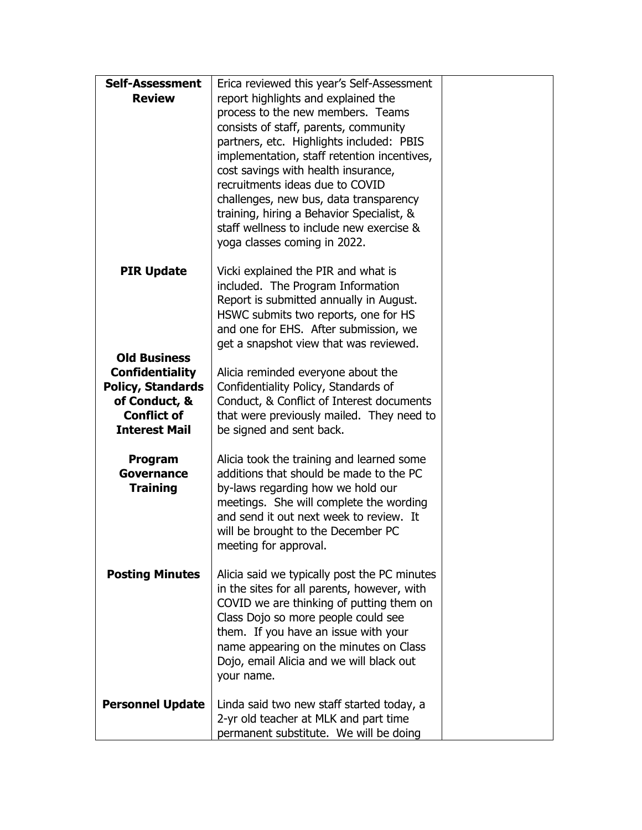| <b>Self-Assessment</b>   | Erica reviewed this year's Self-Assessment                                         |  |
|--------------------------|------------------------------------------------------------------------------------|--|
| <b>Review</b>            | report highlights and explained the                                                |  |
|                          | process to the new members. Teams                                                  |  |
|                          | consists of staff, parents, community                                              |  |
|                          | partners, etc. Highlights included: PBIS                                           |  |
|                          | implementation, staff retention incentives,                                        |  |
|                          | cost savings with health insurance,                                                |  |
|                          | recruitments ideas due to COVID                                                    |  |
|                          | challenges, new bus, data transparency                                             |  |
|                          | training, hiring a Behavior Specialist, &                                          |  |
|                          | staff wellness to include new exercise &                                           |  |
|                          | yoga classes coming in 2022.                                                       |  |
|                          |                                                                                    |  |
| <b>PIR Update</b>        | Vicki explained the PIR and what is<br>included. The Program Information           |  |
|                          | Report is submitted annually in August.                                            |  |
|                          | HSWC submits two reports, one for HS                                               |  |
|                          | and one for EHS. After submission, we                                              |  |
|                          | get a snapshot view that was reviewed.                                             |  |
| <b>Old Business</b>      |                                                                                    |  |
| <b>Confidentiality</b>   | Alicia reminded everyone about the                                                 |  |
| <b>Policy, Standards</b> | Confidentiality Policy, Standards of                                               |  |
| of Conduct, &            | Conduct, & Conflict of Interest documents                                          |  |
| <b>Conflict of</b>       | that were previously mailed. They need to                                          |  |
| <b>Interest Mail</b>     | be signed and sent back.                                                           |  |
|                          |                                                                                    |  |
| Program                  | Alicia took the training and learned some                                          |  |
| Governance               | additions that should be made to the PC                                            |  |
| <b>Training</b>          | by-laws regarding how we hold our                                                  |  |
|                          | meetings. She will complete the wording<br>and send it out next week to review. It |  |
|                          | will be brought to the December PC                                                 |  |
|                          | meeting for approval.                                                              |  |
|                          |                                                                                    |  |
| <b>Posting Minutes</b>   | Alicia said we typically post the PC minutes                                       |  |
|                          | in the sites for all parents, however, with                                        |  |
|                          | COVID we are thinking of putting them on                                           |  |
|                          | Class Dojo so more people could see                                                |  |
|                          | them. If you have an issue with your                                               |  |
|                          | name appearing on the minutes on Class                                             |  |
|                          | Dojo, email Alicia and we will black out                                           |  |
|                          | your name.                                                                         |  |
|                          |                                                                                    |  |
| <b>Personnel Update</b>  | Linda said two new staff started today, a                                          |  |
|                          | 2-yr old teacher at MLK and part time<br>permanent substitute. We will be doing    |  |
|                          |                                                                                    |  |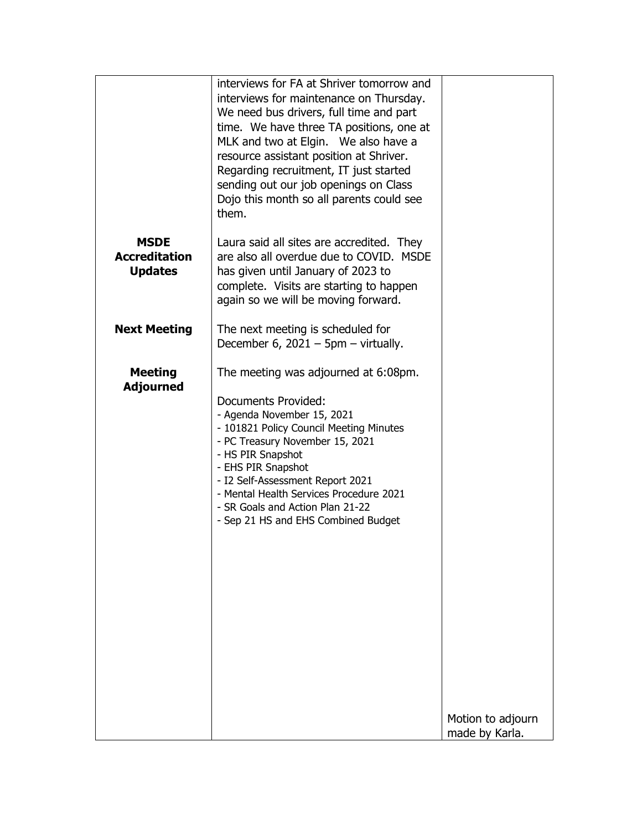|                                                       | interviews for FA at Shriver tomorrow and<br>interviews for maintenance on Thursday.<br>We need bus drivers, full time and part<br>time. We have three TA positions, one at<br>MLK and two at Elgin. We also have a<br>resource assistant position at Shriver.<br>Regarding recruitment, IT just started<br>sending out our job openings on Class<br>Dojo this month so all parents could see<br>them. |                                     |
|-------------------------------------------------------|--------------------------------------------------------------------------------------------------------------------------------------------------------------------------------------------------------------------------------------------------------------------------------------------------------------------------------------------------------------------------------------------------------|-------------------------------------|
| <b>MSDE</b><br><b>Accreditation</b><br><b>Updates</b> | Laura said all sites are accredited. They<br>are also all overdue due to COVID. MSDE<br>has given until January of 2023 to<br>complete. Visits are starting to happen<br>again so we will be moving forward.                                                                                                                                                                                           |                                     |
| <b>Next Meeting</b>                                   | The next meeting is scheduled for<br>December 6, $2021 - 5$ pm – virtually.                                                                                                                                                                                                                                                                                                                            |                                     |
| <b>Meeting</b><br><b>Adjourned</b>                    | The meeting was adjourned at 6:08pm.<br>Documents Provided:<br>- Agenda November 15, 2021<br>- 101821 Policy Council Meeting Minutes<br>- PC Treasury November 15, 2021<br>- HS PIR Snapshot<br>- EHS PIR Snapshot<br>- I2 Self-Assessment Report 2021<br>- Mental Health Services Procedure 2021<br>- SR Goals and Action Plan 21-22<br>- Sep 21 HS and EHS Combined Budget                           |                                     |
|                                                       |                                                                                                                                                                                                                                                                                                                                                                                                        | Motion to adjourn<br>made by Karla. |